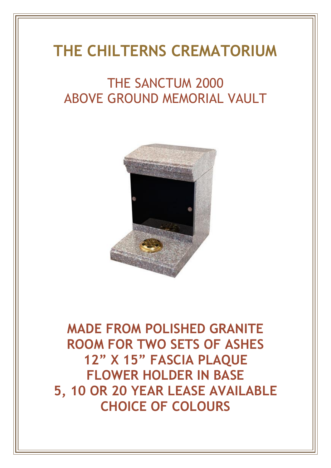# **THE CHILTERNS CREMATORIUM**

## THE SANCTUM 2000 ABOVE GROUND MEMORIAL VAULT



**MADE FROM POLISHED GRANITE ROOM FOR TWO SETS OF ASHES 12" X 15" FASCIA PLAQUE FLOWER HOLDER IN BASE 5, 10 OR 20 YEAR LEASE AVAILABLE CHOICE OF COLOURS**